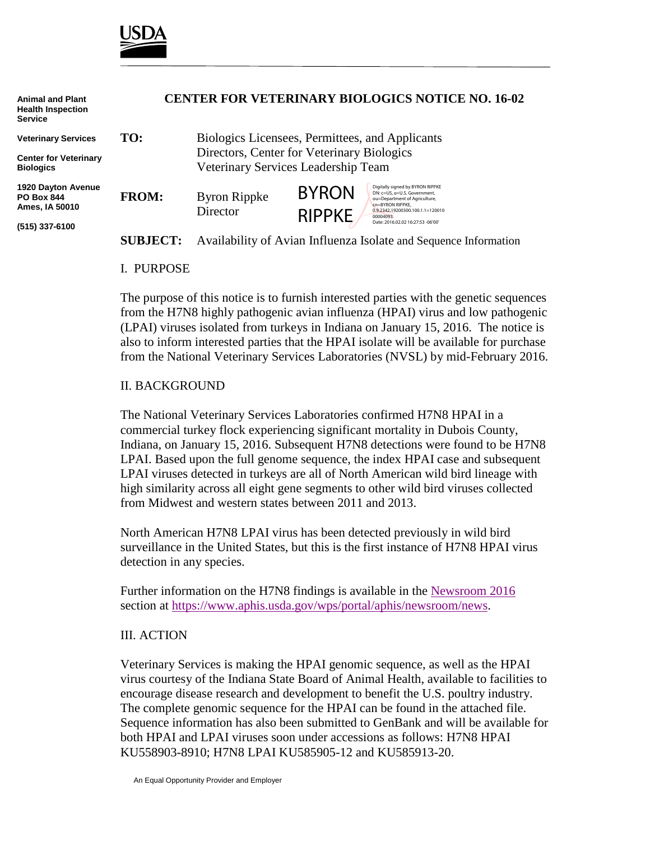

| <b>Animal and Plant</b><br><b>Health Inspection</b><br><b>Service</b> | <b>CENTER FOR VETERINARY BIOLOGICS NOTICE NO. 16-02</b> |                                                                                                                                      |                               |                                                                                                                                                                                                            |
|-----------------------------------------------------------------------|---------------------------------------------------------|--------------------------------------------------------------------------------------------------------------------------------------|-------------------------------|------------------------------------------------------------------------------------------------------------------------------------------------------------------------------------------------------------|
| <b>Veterinary Services</b>                                            | TO:                                                     | Biologics Licensees, Permittees, and Applicants<br>Directors, Center for Veterinary Biologics<br>Veterinary Services Leadership Team |                               |                                                                                                                                                                                                            |
| <b>Center for Veterinary</b><br><b>Biologics</b>                      |                                                         |                                                                                                                                      |                               |                                                                                                                                                                                                            |
| <b>1920 Dayton Avenue</b><br><b>PO Box 844</b><br>Ames, IA 50010      | <b>FROM:</b>                                            | <b>Byron Rippke</b><br>Director                                                                                                      | <b>BYRON</b><br><b>RIPPKE</b> | Digitally signed by BYRON RIPPKE<br>DN: c=US, o=U.S. Government,<br>ou=Department of Agriculture,<br>cn=BYRON RIPPKE.<br>0.9.2342.19200300.100.1.1=120010<br>00004093<br>Date: 2016.02.02 16:27:53 -06'00' |
| (515) 337-6100                                                        | <b>SUBJECT:</b>                                         | Availability of Avian Influenza Isolate and Sequence Information                                                                     |                               |                                                                                                                                                                                                            |

## I. PURPOSE

The purpose of this notice is to furnish interested parties with the genetic sequences from the H7N8 highly pathogenic avian influenza (HPAI) virus and low pathogenic (LPAI) viruses isolated from turkeys in Indiana on January 15, 2016. The notice is also to inform interested parties that the HPAI isolate will be available for purchase from the National Veterinary Services Laboratories (NVSL) by mid-February 2016.

## II. BACKGROUND

The National Veterinary Services Laboratories confirmed H7N8 HPAI in a commercial turkey flock experiencing significant mortality in Dubois County, Indiana, on January 15, 2016. Subsequent H7N8 detections were found to be H7N8 LPAI. Based upon the full genome sequence, the index HPAI case and subsequent LPAI viruses detected in turkeys are all of North American wild bird lineage with high similarity across all eight gene segments to other wild bird viruses collected from Midwest and western states between 2011 and 2013.

North American H7N8 LPAI virus has been detected previously in wild bird surveillance in the United States, but this is the first instance of H7N8 HPAI virus detection in any species.

Further information on the H7N8 findings is available in the [Newsroom 2016](https://www.aphis.usda.gov/wps/portal/aphis/newsroom/news?1dmy&urile=wcm%3apath%3a%2FAPHIS_Content_Library%2FSA_Newsroom%2FSA_News%2FSA_By_Date%2Fnewsroom-2016%2F) section at [https://www.aphis.usda.gov/wps/portal/aphis/newsroom/news.](https://www.aphis.usda.gov/wps/portal/aphis/newsroom/news)

#### III. ACTION

Veterinary Services is making the HPAI genomic sequence, as well as the HPAI virus courtesy of the Indiana State Board of Animal Health, available to facilities to encourage disease research and development to benefit the U.S. poultry industry. The complete genomic sequence for the HPAI can be found in the attached file. Sequence information has also been submitted to GenBank and will be available for both HPAI and LPAI viruses soon under accessions as follows: H7N8 HPAI KU558903-8910; H7N8 LPAI KU585905-12 and KU585913-20.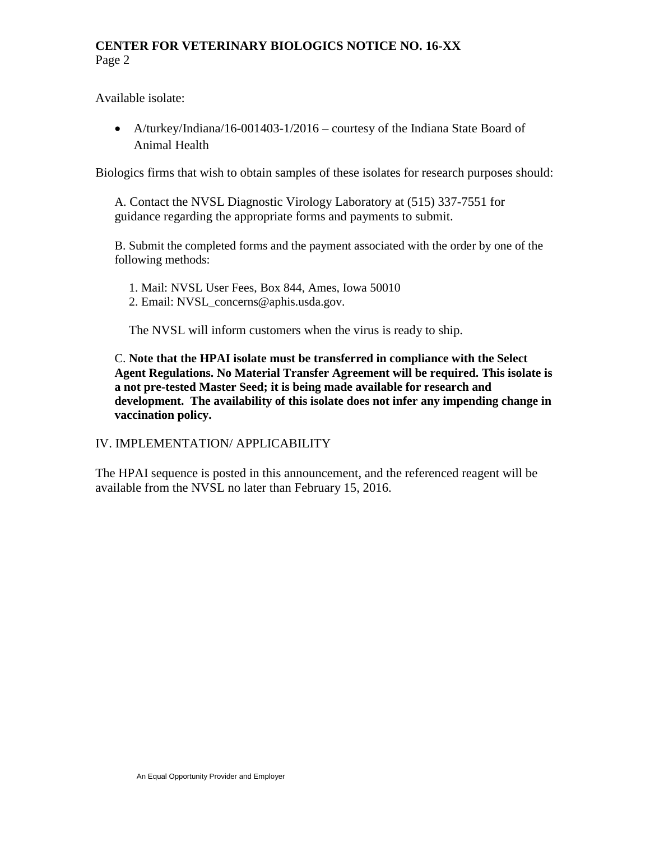# **CENTER FOR VETERINARY BIOLOGICS NOTICE NO. 16-XX** Page 2

Available isolate:

• A/turkey/Indiana/16-001403-1/2016 – courtesy of the Indiana State Board of Animal Health

Biologics firms that wish to obtain samples of these isolates for research purposes should:

A. Contact the NVSL Diagnostic Virology Laboratory at (515) 337-7551 for guidance regarding the appropriate forms and payments to submit.

B. Submit the completed forms and the payment associated with the order by one of the following methods:

1. Mail: NVSL User Fees, Box 844, Ames, Iowa 50010 2. Email: NVSL\_concerns@aphis.usda.gov.

The NVSL will inform customers when the virus is ready to ship.

C. **Note that the HPAI isolate must be transferred in compliance with the Select Agent Regulations. No Material Transfer Agreement will be required. This isolate is a not pre-tested Master Seed; it is being made available for research and development. The availability of this isolate does not infer any impending change in vaccination policy.**

# IV. IMPLEMENTATION/ APPLICABILITY

The HPAI sequence is posted in this announcement, and the referenced reagent will be available from the NVSL no later than February 15, 2016.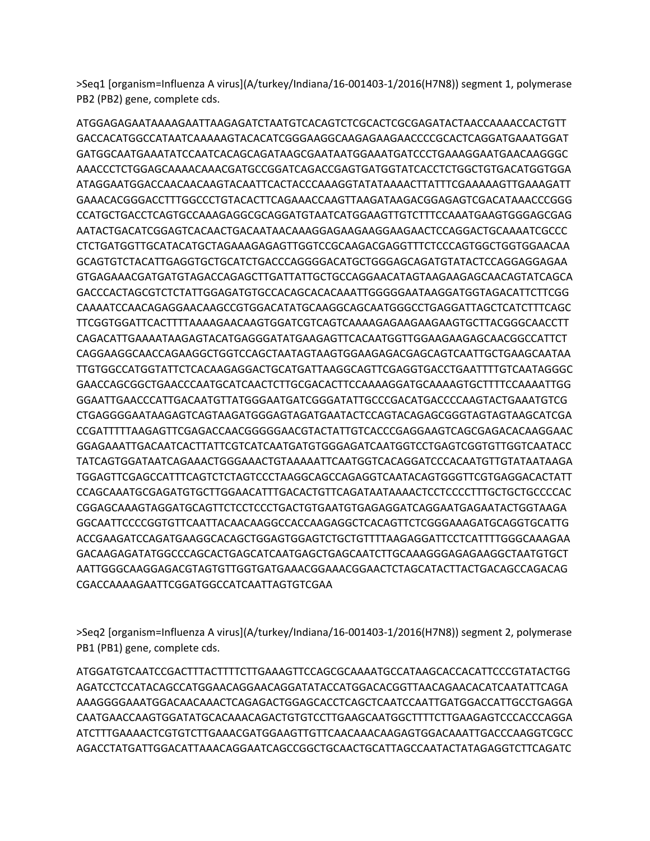>Seq1 [organism=Influenza A virus](A/turkey/Indiana/16-001403-1/2016(H7N8)) segment 1, polymerase PB2 (PB2) gene, complete cds.

ATGGAGAGAATAAAAGAATTAAGAGATCTAATGTCACAGTCTCGCACTCGCGAGATACTAACCAAAACCACTGTT GACCACATGGCCATAATCAAAAAGTACACATCGGGAAGGCAAGAGAAGAACCCCGCACTCAGGATGAAATGGAT GATGGCAATGAAATATCCAATCACAGCAGATAAGCGAATAATGGAAATGATCCCTGAAAGGAATGAACAAGGGC AAACCCTCTGGAGCAAAACAAACGATGCCGGATCAGACCGAGTGATGGTATCACCTCTGGCTGTGACATGGTGGA ATAGGAATGGACCAACAACAAGTACAATTCACTACCCAAAGGTATATAAAACTTATTTCGAAAAAGTTGAAAGATT GAAACACGGGACCTTTGGCCCTGTACACTTCAGAAACCAAGTTAAGATAAGACGGAGAGTCGACATAAACCCGGG CCATGCTGACCTCAGTGCCAAAGAGGCGCAGGATGTAATCATGGAAGTTGTCTTTCCAAATGAAGTGGGAGCGAG AATACTGACATCGGAGTCACAACTGACAATAACAAAGGAGAAGAAGGAAGAACTCCAGGACTGCAAAATCGCCC CTCTGATGGTTGCATACATGCTAGAAAGAGAGTTGGTCCGCAAGACGAGGTTTCTCCCAGTGGCTGGTGGAACAA GCAGTGTCTACATTGAGGTGCTGCATCTGACCCAGGGGACATGCTGGGAGCAGATGTATACTCCAGGAGGAGAA GTGAGAAACGATGATGTAGACCAGAGCTTGATTATTGCTGCCAGGAACATAGTAAGAAGAGCAACAGTATCAGCA GACCCACTAGCGTCTCTATTGGAGATGTGCCACAGCACACAAATTGGGGGAATAAGGATGGTAGACATTCTTCGG CAAAATCCAACAGAGGAACAAGCCGTGGACATATGCAAGGCAGCAATGGGCCTGAGGATTAGCTCATCTTTCAGC TTCGGTGGATTCACTTTTAAAAGAACAAGTGGATCGTCAGTCAAAAGAGAAGAAGAAGTGCTTACGGGCAACCTT CAGACATTGAAAATAAGAGTACATGAGGGATATGAAGAGTTCACAATGGTTGGAAGAAGAGCAACGGCCATTCT CAGGAAGGCAACCAGAAGGCTGGTCCAGCTAATAGTAAGTGGAAGAGACGAGCAGTCAATTGCTGAAGCAATAA TTGTGGCCATGGTATTCTCACAAGAGGACTGCATGATTAAGGCAGTTCGAGGTGACCTGAATTTTGTCAATAGGGC GAACCAGCGGCTGAACCCAATGCATCAACTCTTGCGACACTTCCAAAAGGATGCAAAAGTGCTTTTCCAAAATTGG GGAATTGAACCCATTGACAATGTTATGGGAATGATCGGGATATTGCCCGACATGACCCCAAGTACTGAAATGTCG CTGAGGGGAATAAGAGTCAGTAAGATGGGAGTAGATGAATACTCCAGTACAGAGCGGGTAGTAGTAAGCATCGA CCGATTTTTAAGAGTTCGAGACCAACGGGGGAACGTACTATTGTCACCCGAGGAAGTCAGCGAGACACAAGGAAC GGAGAAATTGACAATCACTTATTCGTCATCAATGATGTGGGAGATCAATGGTCCTGAGTCGGTGTTGGTCAATACC TATCAGTGGATAATCAGAAACTGGGAAACTGTAAAAATTCAATGGTCACAGGATCCCACAATGTTGTATAATAAGA TGGAGTTCGAGCCATTTCAGTCTCTAGTCCCTAAGGCAGCCAGAGGTCAATACAGTGGGTTCGTGAGGACACTATT CCAGCAAATGCGAGATGTGCTTGGAACATTTGACACTGTTCAGATAATAAAACTCCTCCCCTTTGCTGCTGCCCCAC CGGAGCAAAGTAGGATGCAGTTCTCCTCCCTGACTGTGAATGTGAGAGGATCAGGAATGAGAATACTGGTAAGA GGCAATTCCCCGGTGTTCAATTACAACAAGGCCACCAAGAGGCTCACAGTTCTCGGGAAAGATGCAGGTGCATTG ACCGAAGATCCAGATGAAGGCACAGCTGGAGTGGAGTCTGCTGTTTTAAGAGGATTCCTCATTTTGGGCAAAGAA GACAAGAGATATGGCCCAGCACTGAGCATCAATGAGCTGAGCAATCTTGCAAAGGGAGAGAAGGCTAATGTGCT AATTGGGCAAGGAGACGTAGTGTTGGTGATGAAACGGAAACGGAACTCTAGCATACTTACTGACAGCCAGACAG CGACCAAAAGAATTCGGATGGCCATCAATTAGTGTCGAA

>Seq2 [organism=Influenza A virus](A/turkey/Indiana/16-001403-1/2016(H7N8)) segment 2, polymerase PB1 (PB1) gene, complete cds.

ATGGATGTCAATCCGACTTTACTTTTCTTGAAAGTTCCAGCGCAAAATGCCATAAGCACCACATTCCCGTATACTGG AGATCCTCCATACAGCCATGGAACAGGAACAGGATATACCATGGACACGGTTAACAGAACACATCAATATTCAGA AAAGGGGAAATGGACAACAAACTCAGAGACTGGAGCACCTCAGCTCAATCCAATTGATGGACCATTGCCTGAGGA CAATGAACCAAGTGGATATGCACAAACAGACTGTGTCCTTGAAGCAATGGCTTTTCTTGAAGAGTCCCACCCAGGA ATCTTTGAAAACTCGTGTCTTGAAACGATGGAAGTTGTTCAACAAACAAGAGTGGACAAATTGACCCAAGGTCGCC AGACCTATGATTGGACATTAAACAGGAATCAGCCGGCTGCAACTGCATTAGCCAATACTATAGAGGTCTTCAGATC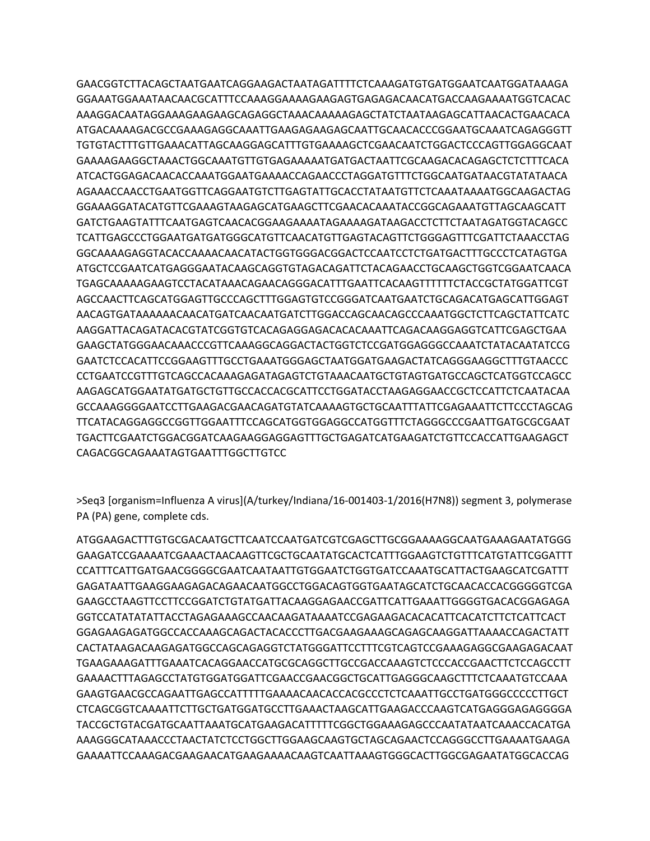GAACGGTCTTACAGCTAATGAATCAGGAAGACTAATAGATTTTCTCAAAGATGTGATGGAATCAATGGATAAAGA GGAAATGGAAATAACAACGCATTTCCAAAGGAAAAGAAGAGTGAGAGACAACATGACCAAGAAAATGGTCACAC AAAGGACAATAGGAAAGAAGAAGCAGAGGCTAAACAAAAAGAGCTATCTAATAAGAGCATTAACACTGAACACA ATGACAAAAGACGCCGAAAGAGGCAAATTGAAGAGAAGAGCAATTGCAACACCCGGAATGCAAATCAGAGGGTT TGTGTACTTTGTTGAAACATTAGCAAGGAGCATTTGTGAAAAGCTCGAACAATCTGGACTCCCAGTTGGAGGCAAT GAAAAGAAGGCTAAACTGGCAAATGTTGTGAGAAAAATGATGACTAATTCGCAAGACACAGAGCTCTCTTTCACA ATCACTGGAGACAACACCAAATGGAATGAAAACCAGAACCCTAGGATGTTTCTGGCAATGATAACGTATATAACA AGAAACCAACCTGAATGGTTCAGGAATGTCTTGAGTATTGCACCTATAATGTTCTCAAATAAAATGGCAAGACTAG GGAAAGGATACATGTTCGAAAGTAAGAGCATGAAGCTTCGAACACAAATACCGGCAGAAATGTTAGCAAGCATT GATCTGAAGTATTTCAATGAGTCAACACGGAAGAAAATAGAAAAGATAAGACCTCTTCTAATAGATGGTACAGCC TCATTGAGCCCTGGAATGATGATGGGCATGTTCAACATGTTGAGTACAGTTCTGGGAGTTTCGATTCTAAACCTAG GGCAAAAGAGGTACACCAAAACAACATACTGGTGGGACGGACTCCAATCCTCTGATGACTTTGCCCTCATAGTGA ATGCTCCGAATCATGAGGGAATACAAGCAGGTGTAGACAGATTCTACAGAACCTGCAAGCTGGTCGGAATCAACA TGAGCAAAAAGAAGTCCTACATAAACAGAACAGGGACATTTGAATTCACAAGTTTTTTCTACCGCTATGGATTCGT AGCCAACTTCAGCATGGAGTTGCCCAGCTTTGGAGTGTCCGGGATCAATGAATCTGCAGACATGAGCATTGGAGT AACAGTGATAAAAAACAACATGATCAACAATGATCTTGGACCAGCAACAGCCCAAATGGCTCTTCAGCTATTCATC AAGGATTACAGATACACGTATCGGTGTCACAGAGGAGACACACAAATTCAGACAAGGAGGTCATTCGAGCTGAA GAAGCTATGGGAACAAACCCGTTCAAAGGCAGGACTACTGGTCTCCGATGGAGGGCCAAATCTATACAATATCCG GAATCTCCACATTCCGGAAGTTTGCCTGAAATGGGAGCTAATGGATGAAGACTATCAGGGAAGGCTTTGTAACCC CCTGAATCCGTTTGTCAGCCACAAAGAGATAGAGTCTGTAAACAATGCTGTAGTGATGCCAGCTCATGGTCCAGCC AAGAGCATGGAATATGATGCTGTTGCCACCACGCATTCCTGGATACCTAAGAGGAACCGCTCCATTCTCAATACAA GCCAAAGGGGAATCCTTGAAGACGAACAGATGTATCAAAAGTGCTGCAATTTATTCGAGAAATTCTTCCCTAGCAG TTCATACAGGAGGCCGGTTGGAATTTCCAGCATGGTGGAGGCCATGGTTTCTAGGGCCCGAATTGATGCGCGAAT TGACTTCGAATCTGGACGGATCAAGAAGGAGGAGTTTGCTGAGATCATGAAGATCTGTTCCACCATTGAAGAGCT CAGACGGCAGAAATAGTGAATTTGGCTTGTCC

>Seq3 [organism=Influenza A virus](A/turkey/Indiana/16-001403-1/2016(H7N8)) segment 3, polymerase PA (PA) gene, complete cds.

ATGGAAGACTTTGTGCGACAATGCTTCAATCCAATGATCGTCGAGCTTGCGGAAAAGGCAATGAAAGAATATGGG GAAGATCCGAAAATCGAAACTAACAAGTTCGCTGCAATATGCACTCATTTGGAAGTCTGTTTCATGTATTCGGATTT CCATTTCATTGATGAACGGGGCGAATCAATAATTGTGGAATCTGGTGATCCAAATGCATTACTGAAGCATCGATTT GAGATAATTGAAGGAAGAGACAGAACAATGGCCTGGACAGTGGTGAATAGCATCTGCAACACCACGGGGGTCGA GAAGCCTAAGTTCCTTCCGGATCTGTATGATTACAAGGAGAACCGATTCATTGAAATTGGGGTGACACGGAGAGA GGTCCATATATATTACCTAGAGAAAGCCAACAAGATAAAATCCGAGAAGACACACATTCACATCTTCTCATTCACT GGAGAAGAGATGGCCACCAAAGCAGACTACACCCTTGACGAAGAAAGCAGAGCAAGGATTAAAACCAGACTATT CACTATAAGACAAGAGATGGCCAGCAGAGGTCTATGGGATTCCTTTCGTCAGTCCGAAAGAGGCGAAGAGACAAT TGAAGAAAGATTTGAAATCACAGGAACCATGCGCAGGCTTGCCGACCAAAGTCTCCCACCGAACTTCTCCAGCCTT GAAAACTTTAGAGCCTATGTGGATGGATTCGAACCGAACGGCTGCATTGAGGGCAAGCTTTCTCAAATGTCCAAA GAAGTGAACGCCAGAATTGAGCCATTTTTGAAAACAACACCACGCCCTCTCAAATTGCCTGATGGGCCCCCTTGCT CTCAGCGGTCAAAATTCTTGCTGATGGATGCCTTGAAACTAAGCATTGAAGACCCAAGTCATGAGGGAGAGGGGA TACCGCTGTACGATGCAATTAAATGCATGAAGACATTTTTCGGCTGGAAAGAGCCCAATATAATCAAACCACATGA AAAGGGCATAAACCCTAACTATCTCCTGGCTTGGAAGCAAGTGCTAGCAGAACTCCAGGGCCTTGAAAATGAAGA GAAAATTCCAAAGACGAAGAACATGAAGAAAACAAGTCAATTAAAGTGGGCACTTGGCGAGAATATGGCACCAG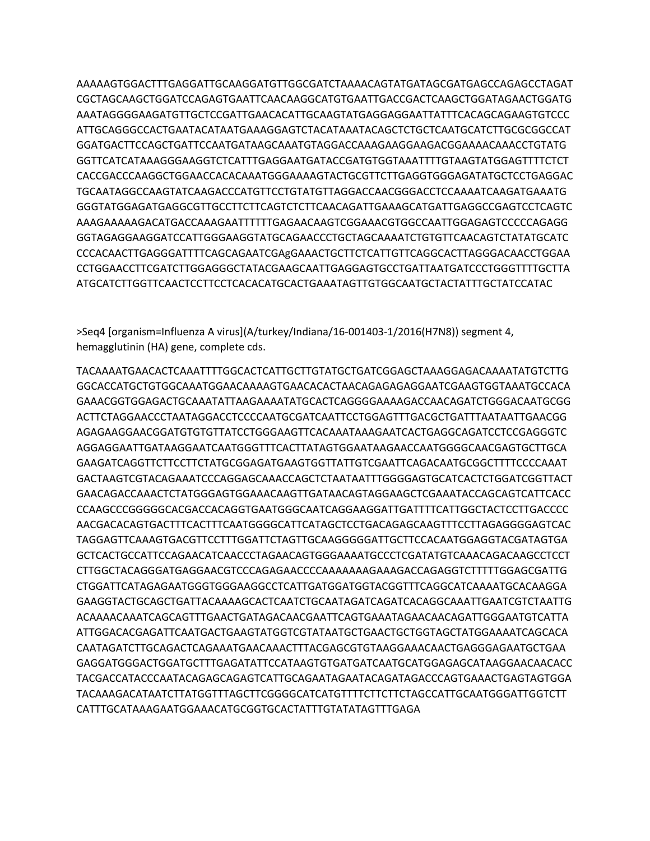AAAAAGTGGACTTTGAGGATTGCAAGGATGTTGGCGATCTAAAACAGTATGATAGCGATGAGCCAGAGCCTAGAT CGCTAGCAAGCTGGATCCAGAGTGAATTCAACAAGGCATGTGAATTGACCGACTCAAGCTGGATAGAACTGGATG AAATAGGGGAAGATGTTGCTCCGATTGAACACATTGCAAGTATGAGGAGGAATTATTTCACAGCAGAAGTGTCCC ATTGCAGGGCCACTGAATACATAATGAAAGGAGTCTACATAAATACAGCTCTGCTCAATGCATCTTGCGCGGCCAT GGATGACTTCCAGCTGATTCCAATGATAAGCAAATGTAGGACCAAAGAAGGAAGACGGAAAACAAACCTGTATG GGTTCATCATAAAGGGAAGGTCTCATTTGAGGAATGATACCGATGTGGTAAATTTTGTAAGTATGGAGTTTTCTCT CACCGACCCAAGGCTGGAACCACACAAATGGGAAAAGTACTGCGTTCTTGAGGTGGGAGATATGCTCCTGAGGAC TGCAATAGGCCAAGTATCAAGACCCATGTTCCTGTATGTTAGGACCAACGGGACCTCCAAAATCAAGATGAAATG GGGTATGGAGATGAGGCGTTGCCTTCTTCAGTCTCTTCAACAGATTGAAAGCATGATTGAGGCCGAGTCCTCAGTC AAAGAAAAAGACATGACCAAAGAATTTTTTGAGAACAAGTCGGAAACGTGGCCAATTGGAGAGTCCCCCAGAGG GGTAGAGGAAGGATCCATTGGGAAGGTATGCAGAACCCTGCTAGCAAAATCTGTGTTCAACAGTCTATATGCATC CCCACAACTTGAGGGATTTTCAGCAGAATCGAgGAAACTGCTTCTCATTGTTCAGGCACTTAGGGACAACCTGGAA CCTGGAACCTTCGATCTTGGAGGGCTATACGAAGCAATTGAGGAGTGCCTGATTAATGATCCCTGGGTTTTGCTTA ATGCATCTTGGTTCAACTCCTTCCTCACACATGCACTGAAATAGTTGTGGCAATGCTACTATTTGCTATCCATAC

>Seq4 [organism=Influenza A virus](A/turkey/Indiana/16-001403-1/2016(H7N8)) segment 4, hemagglutinin (HA) gene, complete cds.

TACAAAATGAACACTCAAATTTTGGCACTCATTGCTTGTATGCTGATCGGAGCTAAAGGAGACAAAATATGTCTTG GGCACCATGCTGTGGCAAATGGAACAAAAGTGAACACACTAACAGAGAGAGGAATCGAAGTGGTAAATGCCACA GAAACGGTGGAGACTGCAAATATTAAGAAAATATGCACTCAGGGGAAAAGACCAACAGATCTGGGACAATGCGG ACTTCTAGGAACCCTAATAGGACCTCCCCAATGCGATCAATTCCTGGAGTTTGACGCTGATTTAATAATTGAACGG AGAGAAGGAACGGATGTGTGTTATCCTGGGAAGTTCACAAATAAAGAATCACTGAGGCAGATCCTCCGAGGGTC AGGAGGAATTGATAAGGAATCAATGGGTTTCACTTATAGTGGAATAAGAACCAATGGGGCAACGAGTGCTTGCA GAAGATCAGGTTCTTCCTTCTATGCGGAGATGAAGTGGTTATTGTCGAATTCAGACAATGCGGCTTTTCCCCAAAT GACTAAGTCGTACAGAAATCCCAGGAGCAAACCAGCTCTAATAATTTGGGGAGTGCATCACTCTGGATCGGTTACT GAACAGACCAAACTCTATGGGAGTGGAAACAAGTTGATAACAGTAGGAAGCTCGAAATACCAGCAGTCATTCACC CCAAGCCCGGGGGCACGACCACAGGTGAATGGGCAATCAGGAAGGATTGATTTTCATTGGCTACTCCTTGACCCC AACGACACAGTGACTTTCACTTTCAATGGGGCATTCATAGCTCCTGACAGAGCAAGTTTCCTTAGAGGGGAGTCAC TAGGAGTTCAAAGTGACGTTCCTTTGGATTCTAGTTGCAAGGGGGATTGCTTCCACAATGGAGGTACGATAGTGA GCTCACTGCCATTCCAGAACATCAACCCTAGAACAGTGGGAAAATGCCCTCGATATGTCAAACAGACAAGCCTCCT CTTGGCTACAGGGATGAGGAACGTCCCAGAGAACCCCAAAAAAAGAAAGACCAGAGGTCTTTTTGGAGCGATTG CTGGATTCATAGAGAATGGGTGGGAAGGCCTCATTGATGGATGGTACGGTTTCAGGCATCAAAATGCACAAGGA GAAGGTACTGCAGCTGATTACAAAAGCACTCAATCTGCAATAGATCAGATCACAGGCAAATTGAATCGTCTAATTG ACAAAACAAATCAGCAGTTTGAACTGATAGACAACGAATTCAGTGAAATAGAACAACAGATTGGGAATGTCATTA ATTGGACACGAGATTCAATGACTGAAGTATGGTCGTATAATGCTGAACTGCTGGTAGCTATGGAAAATCAGCACA CAATAGATCTTGCAGACTCAGAAATGAACAAACTTTACGAGCGTGTAAGGAAACAACTGAGGGAGAATGCTGAA GAGGATGGGACTGGATGCTTTGAGATATTCCATAAGTGTGATGATCAATGCATGGAGAGCATAAGGAACAACACC TACGACCATACCCAATACAGAGCAGAGTCATTGCAGAATAGAATACAGATAGACCCAGTGAAACTGAGTAGTGGA TACAAAGACATAATCTTATGGTTTAGCTTCGGGGCATCATGTTTTCTTCTTCTAGCCATTGCAATGGGATTGGTCTT CATTTGCATAAAGAATGGAAACATGCGGTGCACTATTTGTATATAGTTTGAGA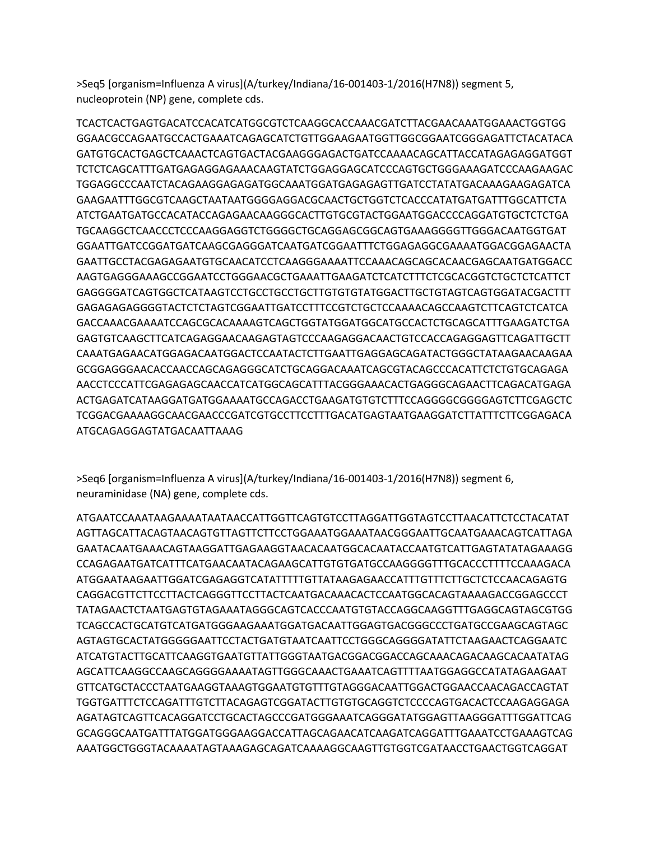>Seq5 [organism=Influenza A virus](A/turkey/Indiana/16-001403-1/2016(H7N8)) segment 5, nucleoprotein (NP) gene, complete cds.

TCACTCACTGAGTGACATCCACATCATGGCGTCTCAAGGCACCAAACGATCTTACGAACAAATGGAAACTGGTGG GGAACGCCAGAATGCCACTGAAATCAGAGCATCTGTTGGAAGAATGGTTGGCGGAATCGGGAGATTCTACATACA GATGTGCACTGAGCTCAAACTCAGTGACTACGAAGGGAGACTGATCCAAAACAGCATTACCATAGAGAGGATGGT TCTCTCAGCATTTGATGAGAGGAGAAACAAGTATCTGGAGGAGCATCCCAGTGCTGGGAAAGATCCCAAGAAGAC TGGAGGCCCAATCTACAGAAGGAGAGATGGCAAATGGATGAGAGAGTTGATCCTATATGACAAAGAAGAGATCA GAAGAATTTGGCGTCAAGCTAATAATGGGGAGGACGCAACTGCTGGTCTCACCCATATGATGATTTGGCATTCTA ATCTGAATGATGCCACATACCAGAGAACAAGGGCACTTGTGCGTACTGGAATGGACCCCAGGATGTGCTCTCTGA TGCAAGGCTCAACCCTCCCAAGGAGGTCTGGGGCTGCAGGAGCGGCAGTGAAAGGGGTTGGGACAATGGTGAT GGAATTGATCCGGATGATCAAGCGAGGGATCAATGATCGGAATTTCTGGAGAGGCGAAAATGGACGGAGAACTA GAATTGCCTACGAGAGAATGTGCAACATCCTCAAGGGAAAATTCCAAACAGCAGCACAACGAGCAATGATGGACC AAGTGAGGGAAAGCCGGAATCCTGGGAACGCTGAAATTGAAGATCTCATCTTTCTCGCACGGTCTGCTCTCATTCT GAGGGGATCAGTGGCTCATAAGTCCTGCCTGCCTGCTTGTGTGTATGGACTTGCTGTAGTCAGTGGATACGACTTT GAGAGAGAGGGGTACTCTCTAGTCGGAATTGATCCTTTCCGTCTGCTCCAAAACAGCCAAGTCTTCAGTCTCATCA GACCAAACGAAAATCCAGCGCACAAAAGTCAGCTGGTATGGATGGCATGCCACTCTGCAGCATTTGAAGATCTGA GAGTGTCAAGCTTCATCAGAGGAACAAGAGTAGTCCCAAGAGGACAACTGTCCACCAGAGGAGTTCAGATTGCTT CAAATGAGAACATGGAGACAATGGACTCCAATACTCTTGAATTGAGGAGCAGATACTGGGCTATAAGAACAAGAA GCGGAGGGAACACCAACCAGCAGAGGGCATCTGCAGGACAAATCAGCGTACAGCCCACATTCTCTGTGCAGAGA AACCTCCCATTCGAGAGAGCAACCATCATGGCAGCATTTACGGGAAACACTGAGGGCAGAACTTCAGACATGAGA ACTGAGATCATAAGGATGATGGAAAATGCCAGACCTGAAGATGTGTCTTTCCAGGGGCGGGGAGTCTTCGAGCTC TCGGACGAAAAGGCAACGAACCCGATCGTGCCTTCCTTTGACATGAGTAATGAAGGATCTTATTTCTTCGGAGACA ATGCAGAGGAGTATGACAATTAAAG

>Seq6 [organism=Influenza A virus](A/turkey/Indiana/16-001403-1/2016(H7N8)) segment 6, neuraminidase (NA) gene, complete cds.

ATGAATCCAAATAAGAAAATAATAACCATTGGTTCAGTGTCCTTAGGATTGGTAGTCCTTAACATTCTCCTACATAT AGTTAGCATTACAGTAACAGTGTTAGTTCTTCCTGGAAATGGAAATAACGGGAATTGCAATGAAACAGTCATTAGA GAATACAATGAAACAGTAAGGATTGAGAAGGTAACACAATGGCACAATACCAATGTCATTGAGTATATAGAAAGG CCAGAGAATGATCATTTCATGAACAATACAGAAGCATTGTGTGATGCCAAGGGGTTTGCACCCTTTTCCAAAGACA ATGGAATAAGAATTGGATCGAGAGGTCATATTTTTGTTATAAGAGAACCATTTGTTTCTTGCTCTCCAACAGAGTG CAGGACGTTCTTCCTTACTCAGGGTTCCTTACTCAATGACAAACACTCCAATGGCACAGTAAAAGACCGGAGCCCT TATAGAACTCTAATGAGTGTAGAAATAGGGCAGTCACCCAATGTGTACCAGGCAAGGTTTGAGGCAGTAGCGTGG TCAGCCACTGCATGTCATGATGGGAAGAAATGGATGACAATTGGAGTGACGGGCCCTGATGCCGAAGCAGTAGC AGTAGTGCACTATGGGGGAATTCCTACTGATGTAATCAATTCCTGGGCAGGGGATATTCTAAGAACTCAGGAATC ATCATGTACTTGCATTCAAGGTGAATGTTATTGGGTAATGACGGACGGACCAGCAAACAGACAAGCACAATATAG AGCATTCAAGGCCAAGCAGGGGAAAATAGTTGGGCAAACTGAAATCAGTTTTAATGGAGGCCATATAGAAGAAT GTTCATGCTACCCTAATGAAGGTAAAGTGGAATGTGTTTGTAGGGACAATTGGACTGGAACCAACAGACCAGTAT TGGTGATTTCTCCAGATTTGTCTTACAGAGTCGGATACTTGTGTGCAGGTCTCCCCAGTGACACTCCAAGAGGAGA AGATAGTCAGTTCACAGGATCCTGCACTAGCCCGATGGGAAATCAGGGATATGGAGTTAAGGGATTTGGATTCAG GCAGGGCAATGATTTATGGATGGGAAGGACCATTAGCAGAACATCAAGATCAGGATTTGAAATCCTGAAAGTCAG AAATGGCTGGGTACAAAATAGTAAAGAGCAGATCAAAAGGCAAGTTGTGGTCGATAACCTGAACTGGTCAGGAT